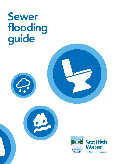# Sewer flooding guide





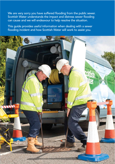We are very sorry you have suffered flooding from the public sewer. Scottish Water understands the impact and distress sewer flooding can cause and we will endeavour to help resolve the situation.

This guide provides useful information when dealing with a sewer flooding incident and how Scottish Water will work to assist you.

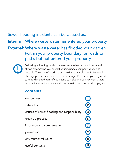## Sewer flooding incidents can be classed as: Internal: Where waste water has entered your property External: Where waste water has flooded your garden (within your property boundary) or roads or paths but not entered your property.



Following a flooding incident where damage has occurred, we would always recommend you contact your insurance company as soon as possible. They can offer advice and guidance. It is also advisable to take photographs and keep a note of any damage. Remember you may need to keep damaged items if you intend to make an insurance claim. More information about insurance and compensation can be found on page 7.

## contents

| our process                                 |             |
|---------------------------------------------|-------------|
| safety first                                |             |
| causes of sewer flooding and responsibility | $\boxed{3}$ |
| clean up process                            |             |
| insurance and compensation                  |             |
| prevention                                  |             |
| environmental issues                        |             |
| useful contacts                             |             |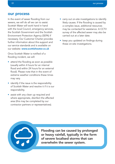#### <span id="page-3-0"></span>our process

In the event of sewer flooding from our sewers, we will do all we can to assist. Scottish Water will work hand in hand with the local Council, emergency services, the Scottish Government and the Scottish Environment Protection Agency (SEPA) if necessary. Our Customer Charter provides further information about this support and our service standards and is available on our website: [www.scottishwater.co.uk](https://www.scottishwater.co.uk)

Once Scottish Water is notified of a flooding incident, we will:

- attend the flooding as soon as possible (usually within 4 hours for an internal flood and within 24 hours for an external flood). Please note that in the event of extreme weather conditions these times may vary.
- identify if the issue is the responsibility of Scottish Water and resolve it if it is our responsibility.
- assist with any clean up required and where appropriate, disinfect the affected area (this may be completed by our contractor partners or representatives).
- carry out on-site investigations to identify likely causes. If the flooding is caused by a complex issue, additional resources may be contacted for assistance. A CCTV survey of the affected sewer may also be carried out at a later date.
- keep you updated on findings during these on-site investigations.

Flooding can be caused by prolonged or heavy rainfall, typically in the form of severe localised storms that can overwhelm the sewer system.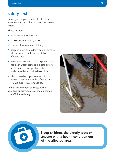## <span id="page-4-0"></span>safety first

Basic hygiene precautions should be taken when coming into direct contact with waste water.

These include:

- wash hands after any contact.
- protect any cuts and grazes.
- disinfect footwear and clothing.
- keep children, the elderly, pets or anyone with a health condition out of the affected area.
- make sure any electrical equipment that has been water damaged is safe before further use. This inspection is best undertaken by a qualified electrician.
- where possible, open windows to increase ventilation to the affected area – make sure it is safe to do so.

In the unlikely event of illness such as vomiting or diarrhoea, you should contact your GP immediately.





Keep children, the elderly, pets or anyone with a health condition out of the affected area.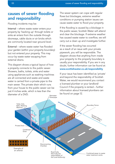## <span id="page-5-0"></span>causes of sewer flooding and responsibility

Flooding incidents may be:

Internal – where waste water enters your property by 'backing up' through toilets or sinks or enters from the outside through doorways, cable ducts or air bricks which are commonly located near ground level.

External – where waste water has flooded your garden (within your property boundary) but not entered your property. This may occur by waste water escaping from external drains.

This diagram shows a typical layout of how a property connects to the public sewer. Showers, baths, toilets, sinks and water using appliances such as washing machines are all connected and waste and waste water is carried from a private pipe to the main sewer. The private drain which runs from your house to the public sewer can be just 4 inches wide, which is less than the diameter of a DVD. Rainwater The sewer system can cope with regular flows but blockages, extreme weather conditions or pumping station issues can cause waste water to flood your property.

If the flooding is caused by a blockage in the public sewer, Scottish Water will attend and clear the blockage. If extreme weather has caused waste water to overflow, we will carry out a clean up and investigate further.

If the sewer flooding has occurred as a result of an issue with your private pipework, you will be responsible. The diagram shows that anything from inside your property to the property boundary is usually your responsibility. If you are in any doubt, further information can be found at: [www.scottishwater.co.uk/responsibility](https://www.scottishwater.co.uk/help-and-resources/document-hub/your-home/pipework-in-your-home) 

If your issue has been identified as 'private' and beyond the responsibility of Scottish Water, we would recommend you contact a licensed plumber or your landlord/ Council if the property is rented – further information about licensed plumbers can be found on page 12.

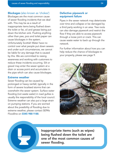#### **Blockages** (also known as 'chokes')

Blockages are the most common cause of sewer flooding incidents that we deal with. This may be as a result of inappropriate items being flushed down the toilet or fat, oil and grease being put down the kitchen sink. Flushing anything other than pee, poo and toilet paper can cause blockages in the system. Unfortunately Scottish Water have no control over what people put down sewers and under such circumstances, we cannot be liable for any damage that is caused by this. We are committed to raising awareness and working with customers to reduce these incidents occurring. Silt or gravel may enter the sewer system at a drain or access point and accumulate in the pipe which can also cause blockages.

#### Extreme weather

Sewer flooding can be caused by prolonged or heavy rainfall, typically in the form of severe localised storms that can overwhelm the sewer system. Surface water flooding (not waste water) in road gullies is usually the responsibility of the local council. Extreme weather can also put a large strain on pumping stations. If you are worried about the possibility of flooding due to extreme weather, please contact SEPA's Floodline on 0345 988 1188.

#### Defective pipework or equipment failure

Pipes in the sewer network may deteriorate over time and collapse or be damaged by a third party working in an area. Tree roots can also damage pipework and restrict the flow if they are able to access pipework through a loose joint or crack. This can cause waste water to back up through the network.

For further information about how you can help reduce the chance of blockages to your property, please see page 9.



Inappropriate items (such as wipes) being flushed down the toilet are one of the most common causes of sewer flooding.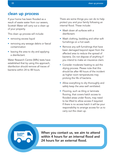### <span id="page-7-0"></span>clean up process

If your home has been flooded as a result of waste water from our sewers, Scottish Water will carry out a clean up of your property.

This clean up process will include:

- removing excess liquid
- removing any sewage debris or faecal contamination
- leaving the area to dry and applying a disinfectant.

Water Research Centre (WRc) tests have established that by using this approach, disinfection should remove all traces of bacteria within 24 to 48 hours.

There are some things you can do to help protect you and your family following an internal flood. These include:

- Wash down all surfaces with a disinfectant.
- Wash clothing, bedding and other soft furnishings on a hot wash.
- Remove any soft furnishings that have been damaged beyond repair from the affected area to reduce the spread of bacteria. Do not dispose of anything if you intend to make an insurance claim.
- Consider moderate heating to aid the drying process. Please note that this should be after 48 hours of the incident as higher room temperatures may prolong the life of bacteria.
- Allow everything to dry thoroughly and safely keep the area well ventilated.
- Flooring, such as tiling or laminate flooring, that covers hatch access to flooded areas under floors, may need to be lifted to allow access if required. If there is no access hatch it will be your responsibility to arrange access for us to carry out the clean up.

When you contact us, we aim to attend within 4 hours for an internal flood and 24 hours for an external flood.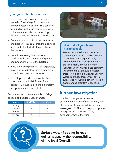#### If your garden has been affected

- Leave lawns and borders to recover naturally. The UV rays from the sun will destroy bacteria over time. This can vary from 6 days in the summer to 20 days in colder/winter conditions depending on the soil type (see table below for details).
- Do not attempt to dig or rake any lawns and borders - this can spread the bacteria further into the turf which can enhance the bacteria.
- Do not excessively hose lawns and borders as this will saturate the ground and prolong the life of the bacteria.
- If you grow any garden fruit or vegetables, make sure you destroy them if they have come in to contact with sewage.
- Stay off paths and driveways that have been treated with disinfectant for a period of 3 hours to give the disinfectant an opportunity to take effect.

Recommended minimum number of days to keep off flooded outdoor areas:

| <b>Season</b> | <b>Turf/Clay</b> | Soil/Sand |
|---------------|------------------|-----------|
| Spring        | 13               | $20 -$    |
| Summer        |                  |           |
| Autumn        | 13               | 70        |
| Winter        | 18               |           |

?



#### what to do if your home is uninhabitable

Scottish Water will, on occasions of severe internal sewer flooding, support a customer in finding temporary accommodation (local b&b/hotel) for the initial night, although in most instances your own insurance company will arrange this. It should be noted there is no legal obligation for Scottish Water to provide this service, but in such cases we would not wish to see a customer and their family stranded.

## further investigation

If further investigation is needed to determine the cause of the flooding, one of our network analysts will be assigned to investigate this. They will keep you updated throughout and notify you of any developments that they find.

Surface water flooding in road gullies is usually the responsibility of the local Council.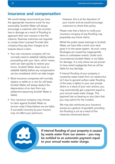## <span id="page-9-0"></span>insurance and compensation

We would always recommend you have the appropriate insurance cover for any eventuality. Scottish Water will always encourage a customer who has incurred loss or damage as a result of flooding to approach their own insurers in the first instance. Business customers are required to contact their Licensed Provider (the company they pay their charges to) to enquire about a claim.

- Your own insurance company will not normally need to establish liability before proceeding with your claim, which means work can start quickly to restore your home. Scottish Water does have to establish liability before any compensation can be considered, which can take longer.
- Most insurance companies will normally replace or settle on a new for old basis. Scottish Water will always deduct the depreciation of an item from any settlement (assuming Scottish Water is liable).
- Your insurance company may choose to claim against Scottish Water to recover costs if they believe we are liable. A successful recovery by your insurers may not affect your premiums.

However, this is at the discretion of your insurer and we would encourage customers to check their policy.

Please note that a failure to notify your insurance company of any flooding may jeopardise any future claims.

Whilst the public sewer belongs to Scottish Water, we have little control over what goes in to the sewer system. As such, many blockages are caused by inappropriate items or unforeseen events. Under such circumstances Scottish Water is not liable for damage. It is only where we are proven to have acted negligently that we will be liable for any damage.

If internal flooding of your property is caused by waste water from our sewers but isn't due to general surface water flooding of the area; a defect in your own private drains or a result of your own actions, you may automatically get a payment equal to your annual waste water charge. This payment has no bearing on any claim that you may submit for the incident.

We may also reimburse your insurance excess as a gesture of goodwill, providing the flooding is not as a result of the instances mentioned above.

If internal flooding of your property is caused by waste water from our sewers – you may be entitled to an automatic payment equal to your annual waste water charge.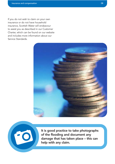C

If you do not wish to claim on your own insurance or do not have household insurance, Scottish Water will endeavour to assist you as described in our Customer Charter, which can be found on our website and includes more information about our Service Standards.



It is good practice to take photographs of the flooding and document any damage that has taken place – this can help with any claim.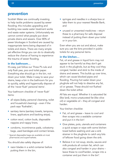## <span id="page-11-0"></span>prevention

Scottish Water are continually investing to help tackle problems caused by sewer flooding; this includes upgrading and building new waste water treatment works and waste water systems. Unfortunately we cannot control what people put down private drains and sewers. Over 80% of sewer blockages in Scotland are caused by inappropriate items being disposed of in toilets and drains. There are many simple yet effective things you can do to drastically reduce the chance of having to experience the trauma of sewer flooding.

#### in the bathroom…

It's easy, just follow our Three P's rule and only flush pee, poo and toilet paper. Everything else should go in the bin, not down your toilet. Make it easy to save your drains, keep a bin in the bathroom for you to quickly, safely and hygienically dispose of all the 'never flush' personal items† .

Your bathroom checklist of 'never flush' items:

- all wipes (baby, personal cleansing, toilet and household cleaning) – even if the pack says 'flushable';
- sanitary items (sanitary towels, tampons, liners, applicators and backing strips);
- cotton wool, cotton buds, disposable nappies and nappy liners;
- condoms, incontinence pads, colostomy bags, used bandages and contact lenses.
- † Special disposable bags are available at most pharmacies and supermarkets.

You should also safely dispose of:

• razor blades in a solid container before putting them in the bin,

- syringes and needles in a sharps box or take them to your nearest Needle Bank, and
- unused or unwanted medicines return these to a pharmacy for safe disposal instead of putting them down your toilet or in your bin.

Even when you are out and about, make sure you use the bins provided in public toilets for any personal items.

#### in the kitchen…

Fat, oil and grease in liquid form may not appear to be harmful as they don't get stuck in the plughole, but as they cool they congeal, harden and stick to the inside of drains and sewers. This builds up over time, which can cause blocked pipes and flooding. Pouring hot water down your plughole will not help to dissolve any fat, oil or grease. These should not flushed down the toilet either.

All fats are equal. Whether it is saturated fat (like lard), mono-unsaturated fat (like olive oil) or vegetable oil – they all congeal and harden.

Your kitchen checklist:

- Fat, oil and grease leave to cool and then scrape into a sealable container and put it in the bin\*.
- Give plates, pots, utensils and containers a quick scrape or wipe with some kitchen towel before washing and use a sink strainer in the plughole to catch any bits of leftover food going down the sink.
- Believe it or not soup, stocks, sauces and milk products all contain fat, which can also congeal and harden in your drains – leave these to cool/harden, scrape into a container and put them in the bin\*.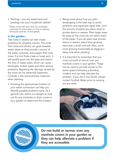- Peelings put any waste food and peelings into your household rubbish\*.
- \* Please check with your local Council/waste contractor for information on how to dispose of/recycle used fat, oil and grease.

#### in the garden…

Tree roots in sewers can also create problems for property owners. The roots from trees and shrubs can grow towards sewer pipes as they provide a source of the water, nutrients, and oxygen that roots crave. If a root finds a leak or loose joint, it will quickly grow into the pipe and restrict the flow of waste water, which can cause blockages, broken pipes and other serious problems. Repairing the damage caused by the roots can be extremely expensive. Consider a few precautionary measures when planting.

• Knowing the approximate location of your sewer connection can help you identify possible problems early. As a general rule, drains run straight so look out for any manholes or drain covers in your garden to determine the location.

- Being smart about how you plan landscaping is the best way to avoid problems and expensive repair bills. Limit the amount of plants you place close to private drains or sewers. Plant larger trees far away so the roots are not within reach of the pipes. If you do plant near private drains or sewers, select slow-growing trees with a small root ball. Also, avoid roots growing horizontally by digging a deep hole when planting.
- It is important to remember that you must not build or tarmac over any manhole covers in your garden. These can be used to provide access to the sewer system following a flooding incident and can help alleviate the problem. If you are in any doubt, please contact Scottish Water prior to carrying out any work.



Do not build or tarmac over any manhole covers in your garden as they can help alleviate a problem if they are accessible.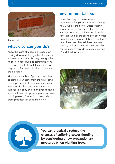<span id="page-13-0"></span>

A smart brick

## what else can you do?

Know the signs of a possible issue. Slow flowing drains are the sign that the system is having a problem. You may hear gurgling noises or notice bubbles coming up from the toilet after flushing. Internal flooding may occur if no action is taken to remove the blockage.

There are a number of products available to protect your home from the risk of sewer flooding. These include non return valves which restrict the sewer from backing up into your property and smart airbrick covers which automatically provide protection in a flooding event. Further information about these products can be found online.

## environmental issues

Sewer flooding can cause serious environmental implications as well. During heavy rainfall, the flow of waste water in sewers increases hundreds of times. Diluted waste water can sometimes be allowed to flow into rivers or the sea to prevent homes from flooding. Unfortunately, if 'never flush' items have been flushed these can also escape, polluting rivers and beaches. This causes a health hazard, harms wildlife, and it's awful to look at too.



You can drastically reduce the chances of suffering sewer flooding by considering a few precautionary measures when planting trees.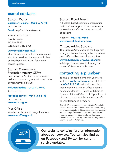## <span id="page-14-0"></span>useful contacts

#### Scottish Water Customer Helpline – 0800 0778778

(24 hour service) Email: [help@scottishwater.co.uk](mailto:help@scottishwater.co.uk)

You can write to us at: Scottish Water PO Box 8855 Edinburgh EH10 6YQ

#### [www.scottishwater.co.uk](https://www.scottishwater.co.uk)

Our website contains further information about our services. You can also find us on Facebook and Twitter for current service updates.

#### Scottish Environment Protection Agency (SEPA)

Information on Scotland's environment, pollution prevention, regulation and other environmental initiatives.

#### Pollution hotline – 0800 80 70 60

(24 hour service)

#### Floodline service – 0345 988 1188

(24 hour service) [www.sepa.org.uk](https://www.sepa.org.uk)

#### Met Office

Weather and climate change forecasts. [www.metoffice.gov.uk](https://www.metoffice.gov.uk)

#### Scottish Flood Forum

A Scottish based charitable organisation that provides support for and represents those who are affected by or are at risk of flooding.

Helpline – 0131 563 9392 [www.scottishfloodforum.org](https://scottishfloodforum.org)

#### Citizens Advice Scotland

The Citizens Advice Service can help with a range of issues that may arise if you have been affected by sewer flooding. See <www.adviceguide.org.uk/scotland> for self-help information or to locate your nearest Citizens Advice Bureau.

## contacting a plumber

To find a licensed plumber in your area visit [www.watersafe.org.uk](https://www.watersafe.org.uk) or call SNIPEF on 0845 224 0391 who will be able to recommend a plumber. Office opening hours are Monday – Thursday 8.30am to 5pm and Friday 8.30am to 4.30pm. For out of hours, please visit the website or refer to your telephone directory.

Scottish Water supports and promotes the WaterSafe scheme. WaterSafe is a dedicated online search facility to help customers to find the nearest qualified plumbing and heating professionals in their area. Scottish and Northern Ireland Plumbing Employers' Federation (SNIPEF) runs the Plumbing Industry Licensing Scheme and this is part of WaterSafe.

#### cottish Vətor

Our website contains further information about our services. You can also find us on Facebook and Twitter for current service updates.